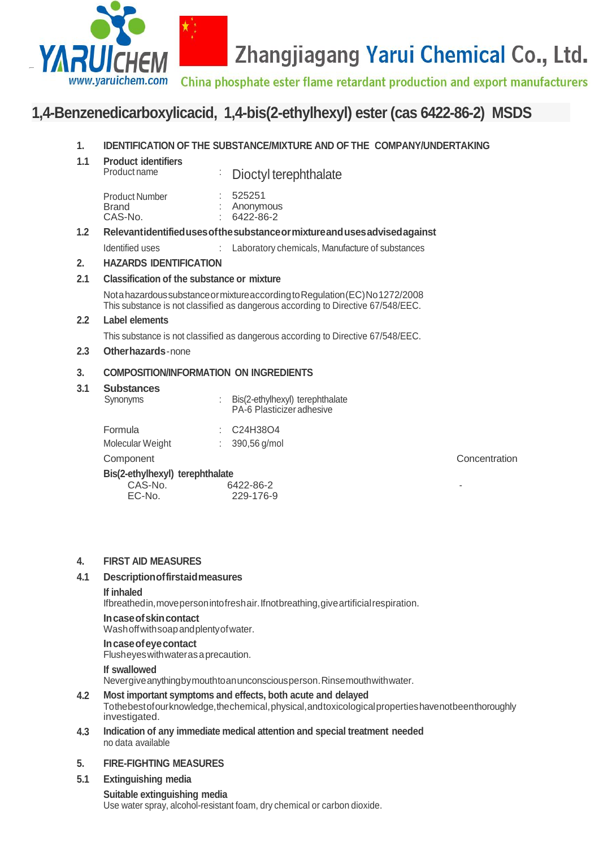

# Zhangjiagang Yarui Chemical Co., Ltd.

China phosphate ester flame retardant production and export manufacturers

# **1,4-Benzenedicarboxylicacid, 1,4-bis(2-ethylhexyl) ester (cas 6422-86-2) MSDS**

#### **1. IDENTIFICATION OF THE SUBSTANCE/MIXTURE AND OF THE COMPANY/UNDERTAKING**

| 1.1              | <b>Product identifiers</b><br>Product name                                                                                                                        | ÷ | Dioctyl terephthalate                                        |               |  |
|------------------|-------------------------------------------------------------------------------------------------------------------------------------------------------------------|---|--------------------------------------------------------------|---------------|--|
|                  | <b>Product Number</b><br><b>Brand</b><br>CAS-No.                                                                                                                  |   | 525251<br>Anonymous<br>6422-86-2                             |               |  |
| 1.2 <sub>2</sub> | Relevantidentified uses of the substance or mixture and uses advised against                                                                                      |   |                                                              |               |  |
|                  | Identified uses                                                                                                                                                   | ÷ | Laboratory chemicals, Manufacture of substances              |               |  |
| 2.               | <b>HAZARDS IDENTIFICATION</b>                                                                                                                                     |   |                                                              |               |  |
| 2.1              | Classification of the substance or mixture                                                                                                                        |   |                                                              |               |  |
|                  | Nota hazardous substance or mixture according to Regulation (EC) No 1272/2008<br>This substance is not classified as dangerous according to Directive 67/548/EEC. |   |                                                              |               |  |
| $2.2\,$          | <b>Label elements</b>                                                                                                                                             |   |                                                              |               |  |
|                  | This substance is not classified as dangerous according to Directive 67/548/EEC.                                                                                  |   |                                                              |               |  |
| $2.3\,$          | Other hazards - none                                                                                                                                              |   |                                                              |               |  |
| 3.               | <b>COMPOSITION/INFORMATION ON INGREDIENTS</b>                                                                                                                     |   |                                                              |               |  |
| 3.1              | <b>Substances</b><br>Synonyms                                                                                                                                     |   | Bis(2-ethylhexyl) terephthalate<br>PA-6 Plasticizer adhesive |               |  |
|                  | Formula<br>Molecular Weight                                                                                                                                       | ÷ | C24H38O4<br>390,56 g/mol                                     |               |  |
|                  | Component                                                                                                                                                         |   |                                                              | Concentration |  |
|                  | Bis(2-ethylhexyl) terephthalate                                                                                                                                   |   |                                                              |               |  |

#### **4. FIRST AID MEASURES**

#### **4.1 Descriptionoffirstaidmeasures**

### **If inhaled**

Ifbreathedin,movepersonintofreshair.Ifnotbreathing,giveartificialrespiration.

EC-No. 229-176-9

### **Incaseofskincontact**

Washoffwithsoapandplentyofwater.

CAS-No. 6422-86-2<br>EC-No. 229-176-9

### **Incaseofeyecontact**

Flusheyeswithwaterasaprecaution.

### **If swallowed**

Nevergiveanythingbymouthtoanunconsciousperson.Rinsemouthwithwater.

#### **4.2 Most important symptoms and effects, both acute and delayed**

Tothebestofourknowledge, the chemical, physical, and toxicological properties have not been thoroughly investigated.

**4.3 Indication of any immediate medical attention and special treatment needed** no data available

#### **5. FIRE-FIGHTING MEASURES**

#### **5.1 Extinguishing media**

**Suitable extinguishing media** Use water spray, alcohol-resistant foam, dry chemical or carbon dioxide.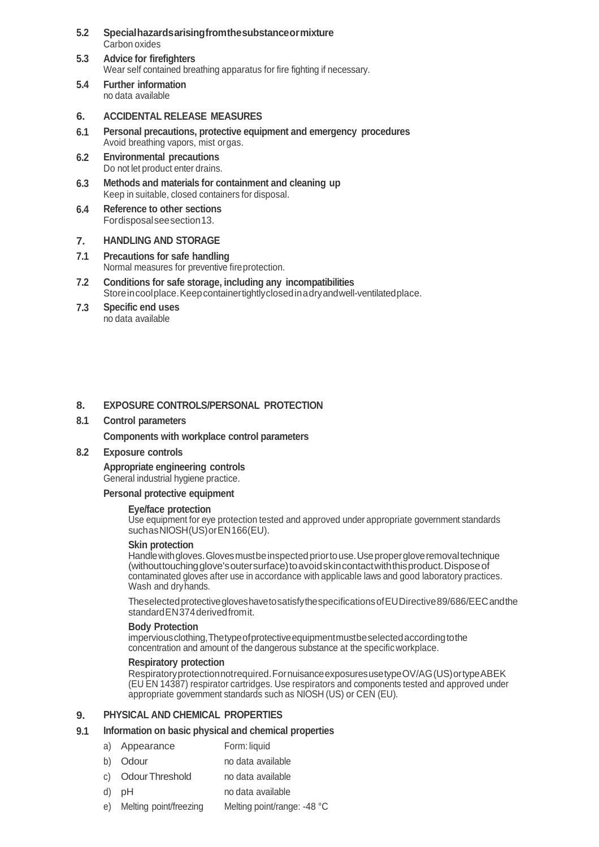- **5.2 Specialhazardsarisingfromthesubstanceormixture** Carbon oxides
- **5.3 Advice for firefighters** Wear self contained breathing apparatus for fire fighting if necessary.
- **5.4 Further information** no data available

#### **6. ACCIDENTAL RELEASE MEASURES**

- **6.1 Personal precautions, protective equipment and emergency procedures** Avoid breathing vapors, mist orgas.
- **6.2 Environmental precautions** Do not let product enter drains.
- **6.3 Methods and materials for containment and cleaning up** Keep in suitable, closed containers for disposal.
- **6.4 Reference to other sections** Fordisposalseesection13.

#### **7. HANDLING AND STORAGE**

- **7.1 Precautions for safe handling** Normal measures for preventive fireprotection.
- **7.2 Conditions for safe storage, including any incompatibilities** Storeincoolplace.Keepcontainertightlyclosedinadryandwell-ventilatedplace.
- **7.3 Specific end uses** no data available

#### **8. EXPOSURE CONTROLS/PERSONAL PROTECTION**

#### **8.1 Control parameters**

**Components with workplace control parameters**

**8.2 Exposure controls**

## **Appropriate engineering controls**

General industrial hygiene practice.

### **Personal protective equipment**

### **Eye/face protection**

Use equipment for eye protection tested and approved under appropriate government standards suchasNIOSH(US)orEN166(EU).

### **Skin protection**

Handle with gloves. Gloves must be inspected prior to use. Use proper glove removal technique (withouttouchingglove'soutersurface)toavoidskincontactwiththisproduct.Disposeof contaminated gloves after use in accordance with applicable laws and good laboratory practices. Wash and dryhands.

TheselectedprotectivegloveshavetosatisfythespecificationsofEUDirective89/686/EECandthe standardEN374derivedfromit.

### **Body Protection**

imperviousclothing,Thetypeofprotectiveequipmentmustbeselectedaccordingtothe concentration and amount of the dangerous substance at the specificworkplace.

### **Respiratory protection**

Respiratoryprotectionnotrequired.FornuisanceexposuresusetypeOV/AG(US)ortypeABEK (EU EN 14387) respirator cartridges. Use respirators and components tested and approved under appropriate government standards such as NIOSH (US) or CEN (EU).

#### **9. PHYSICAL AND CHEMICAL PROPERTIES**

#### **9.1 Information on basic physical and chemical properties**

- a) Appearance Form: liquid
- b) Odour no data available
- c) OdourThreshold no data available
- d) pH no data available
- e) Melting point/freezing Melting point/range: -48 °C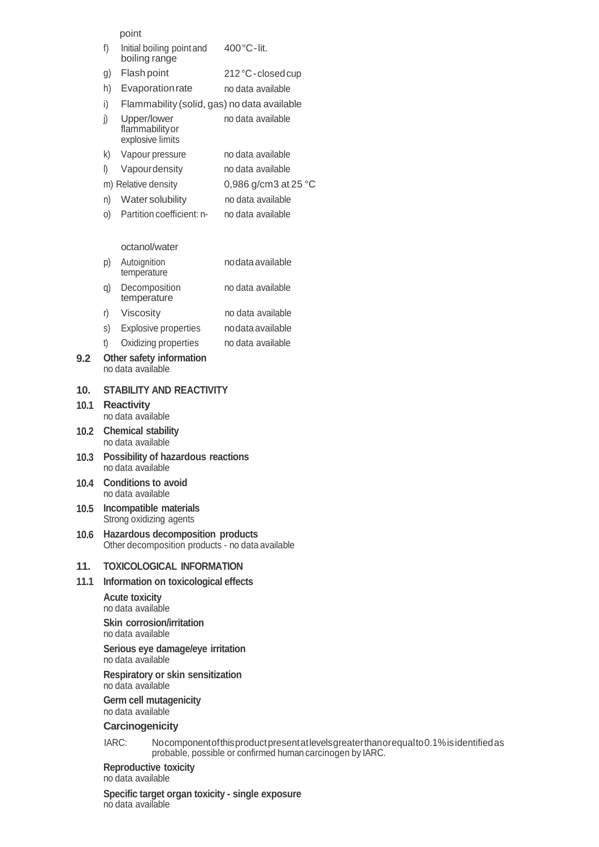point

| f)           | Initial boiling point and<br>boiling range         | $400^{\circ}$ C-lit.           |  |  |
|--------------|----------------------------------------------------|--------------------------------|--|--|
| g)           | Flash point                                        | 212 °C - closed cup            |  |  |
| h)           | Evaporation rate                                   | no data available              |  |  |
| i)           | Flammability (solid, gas) no data available        |                                |  |  |
| j)           | Upper/lower<br>flammability or<br>explosive limits | no data available              |  |  |
| k)           | Vapour pressure                                    | no data available              |  |  |
| $\mathsf{I}$ | Vapourdensity                                      | no data available              |  |  |
|              | m) Relative density                                | 0,986 g/cm3 at 25 $^{\circ}$ C |  |  |
| n)           | Water solubility                                   | no data available              |  |  |
| O)           | Partition coefficient: n-                          | no data available              |  |  |
|              |                                                    |                                |  |  |

#### octanol/water

| p) | Autoignition<br>temperature | no data available |
|----|-----------------------------|-------------------|
| a) | Decomposition               | no data available |

- temperature
- r) Viscosity no data available
- s) Explosive properties nodataavailable
- t) Oxidizing properties no data available
- **9.2 Other safety information** no data available

#### **10. STABILITY AND REACTIVITY**

#### **10.1 Reactivity** no data available

- **10.2 Chemical stability** no data available
- **10.3 Possibility of hazardous reactions** no data available
- **10.4 Conditions to avoid** no data available
- **10.5 Incompatible materials** Strong oxidizing agents
- **10.6 Hazardous decomposition products** Other decomposition products - no data available

#### **11. TOXICOLOGICAL INFORMATION**

**11.1 Information on toxicological effects**

**Acute toxicity** no data available

**Skin corrosion/irritation** no data available

**Serious eye damage/eye irritation** no data available

#### **Respiratory or skin sensitization** no data available

**Germ cell mutagenicity**

no data available

### **Carcinogenicity**

IARC: Nocomponentofthisproductpresentatlevelsgreaterthanorequalto0.1%isidentifiedas probable, possible or confirmed human carcinogen by IARC.

### **Reproductive toxicity**

no data available

no data available **Specific target organ toxicity - single exposure**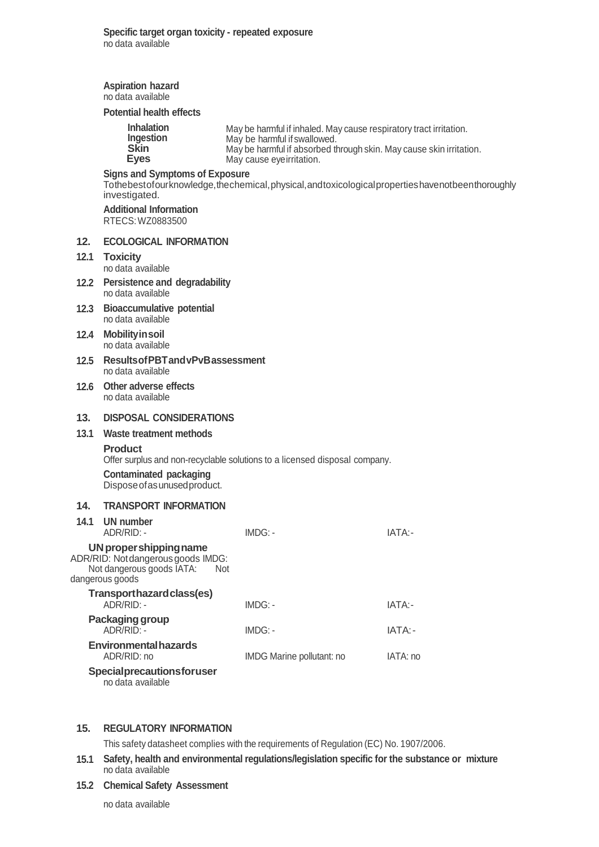|                   | <b>Aspiration hazard</b><br>no data available                                                                                                                    |                                                                                                                                                                                                       |          |  |  |  |  |
|-------------------|------------------------------------------------------------------------------------------------------------------------------------------------------------------|-------------------------------------------------------------------------------------------------------------------------------------------------------------------------------------------------------|----------|--|--|--|--|
|                   | <b>Potential health effects</b>                                                                                                                                  |                                                                                                                                                                                                       |          |  |  |  |  |
|                   | <b>Inhalation</b><br>Ingestion<br><b>Skin</b><br><b>Eyes</b>                                                                                                     | May be harmful if inhaled. May cause respiratory tract irritation.<br>May be harmful if swallowed.<br>May be harmful if absorbed through skin. May cause skin irritation.<br>May cause eyeirritation. |          |  |  |  |  |
|                   | <b>Signs and Symptoms of Exposure</b><br>Tothebestofourknowledge, the chemical, physical, and toxicological properties have not been thoroughly<br>investigated. |                                                                                                                                                                                                       |          |  |  |  |  |
|                   | <b>Additional Information</b><br>RTECS: WZ0883500                                                                                                                |                                                                                                                                                                                                       |          |  |  |  |  |
| 12.               | <b>ECOLOGICAL INFORMATION</b>                                                                                                                                    |                                                                                                                                                                                                       |          |  |  |  |  |
| 12.1              | <b>Toxicity</b><br>no data available                                                                                                                             |                                                                                                                                                                                                       |          |  |  |  |  |
| 12.2 <sub>2</sub> | <b>Persistence and degradability</b><br>no data available                                                                                                        |                                                                                                                                                                                                       |          |  |  |  |  |
|                   | 12.3 Bioaccumulative potential<br>no data available                                                                                                              |                                                                                                                                                                                                       |          |  |  |  |  |
|                   | 12.4 Mobility in soil<br>no data available                                                                                                                       |                                                                                                                                                                                                       |          |  |  |  |  |
| 12.5              | <b>Results of PBT and vPvB assessment</b><br>no data available                                                                                                   |                                                                                                                                                                                                       |          |  |  |  |  |
| 12.6              | Other adverse effects<br>no data available                                                                                                                       |                                                                                                                                                                                                       |          |  |  |  |  |
| 13.               | <b>DISPOSAL CONSIDERATIONS</b>                                                                                                                                   |                                                                                                                                                                                                       |          |  |  |  |  |
| 13.1              | Waste treatment methods                                                                                                                                          |                                                                                                                                                                                                       |          |  |  |  |  |
|                   | <b>Product</b>                                                                                                                                                   |                                                                                                                                                                                                       |          |  |  |  |  |
|                   | Offer surplus and non-recyclable solutions to a licensed disposal company.<br><b>Contaminated packaging</b>                                                      |                                                                                                                                                                                                       |          |  |  |  |  |
|                   | Dispose of as unused product.                                                                                                                                    |                                                                                                                                                                                                       |          |  |  |  |  |
| 14.               | <b>TRANSPORT INFORMATION</b>                                                                                                                                     |                                                                                                                                                                                                       |          |  |  |  |  |
| 14.1              | UN number<br>ADR/RID: -                                                                                                                                          | IMDG: -                                                                                                                                                                                               | IATA:-   |  |  |  |  |
|                   | UN proper shipping name<br>ADR/RID: Notdangerous goods IMDG:<br>Not dangerous goods IATA:<br>Not<br>dangerous goods                                              |                                                                                                                                                                                                       |          |  |  |  |  |
|                   | Transporthazard class(es)<br>ADR/RID: -                                                                                                                          | $IMDG: -$                                                                                                                                                                                             | IATA:-   |  |  |  |  |
|                   | Packaging group<br>ADR/RID: -                                                                                                                                    | $IMDG: -$                                                                                                                                                                                             | IATA:-   |  |  |  |  |
|                   | <b>Environmental hazards</b><br>ADR/RID: no                                                                                                                      | IMDG Marine pollutant: no                                                                                                                                                                             | IATA: no |  |  |  |  |
|                   | Specialprecautionsforuser                                                                                                                                        |                                                                                                                                                                                                       |          |  |  |  |  |

no data available

### **15. REGULATORY INFORMATION**

This safety datasheet complies with the requirements of Regulation (EC) No. 1907/2006.

**15.1 Safety, health and environmental regulations/legislation specific for the substance or mixture** no data available

#### **15.2 Chemical Safety Assessment**

no data available